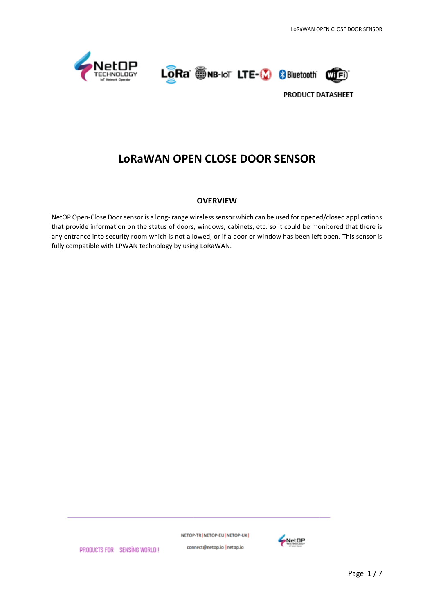





# **LoRaWAN OPEN CLOSE DOOR SENSOR**

#### **OVERVIEW**

NetOP Open-Close Door sensor is a long- range wireless sensor which can be used for opened/closed applications that provide information on the status of doors, windows, cabinets, etc. so it could be monitored that there is any entrance into security room which is not allowed, or if a door or window has been left open. This sensor is fully compatible with LPWAN technology by using LoRaWAN.

NETOP-TR NETOP-EU NETOP-UK



PRODUCTS FOR SENSING WORLD!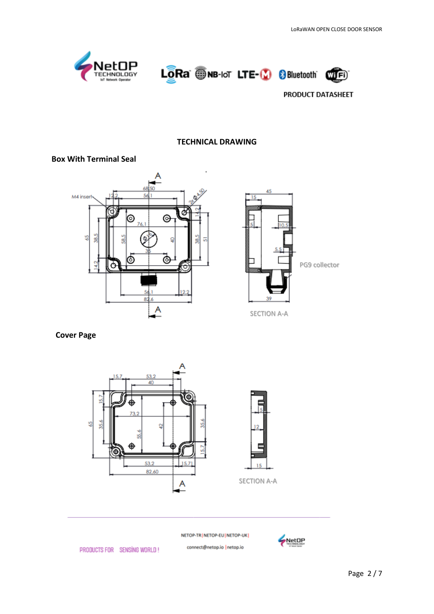





### **TECHNICAL DRAWING**

#### **Box With Terminal Seal**





SECTION A-A

#### **Cover Page**





SECTION A-A

NETOP-TR | NETOP-EU | NETOP-UK |

connect@netop.io |netop.io



PRODUCTS FOR SENSING WORLD!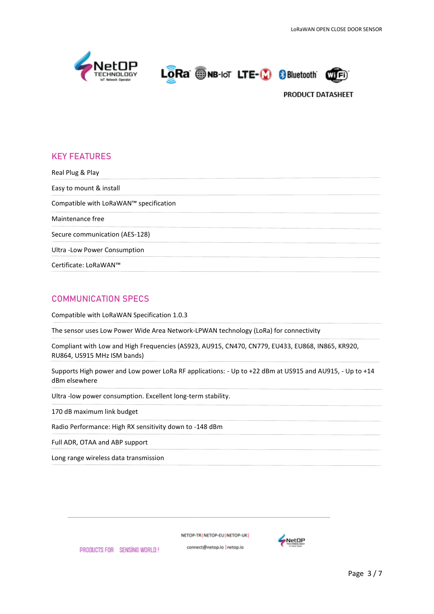





# **KEY FEATURES**

Real Plug & Play Easy to mount & install Compatible with LoRaWAN™ specification Maintenance free Secure communication (AES-128) Ultra -Low Power Consumption Certificate: LoRaWAN™

## **COMMUNICATION SPECS**

Compatible with LoRaWAN Specification 1.0.3

The sensor uses Low Power Wide Area Network-LPWAN technology (LoRa) for connectivity

Compliant with Low and High Frequencies (AS923, AU915, CN470, CN779, EU433, EU868, IN865, KR920, RU864, US915 MHz ISM bands)

Supports High power and Low power LoRa RF applications: - Up to +22 dBm at US915 and AU915, - Up to +14 dBm elsewhere

Ultra -low power consumption. Excellent long-term stability.

170 dB maximum link budget

Radio Performance: High RX sensitivity down to -148 dBm

Full ADR, OTAA and ABP support

Long range wireless data transmission

NETOP-TRINETOP-EUINETOP-UKI

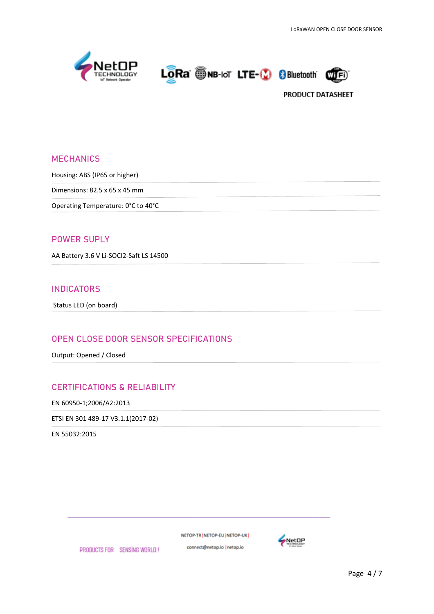





## **MECHANICS**

Housing: ABS (IP65 or higher)

Dimensions: 82.5 x 65 x 45 mm

Operating Temperature: 0°C to 40°C

#### **POWER SUPLY**

AA Battery 3.6 V Li-SOCI2-Saft LS 14500

## **INDICATORS**

Status LED (on board)

### **OPEN CLOSE DOOR SENSOR SPECIFICATIONS**

Output: Opened / Closed

## **CERTIFICATIONS & RELIABILITY**

EN 60950-1;2006/A2:2013

ETSI EN 301 489-17 V3.1.1(2017-02)

EN 55032:2015

NETOP-TR | NETOP-EU | NETOP-UK |

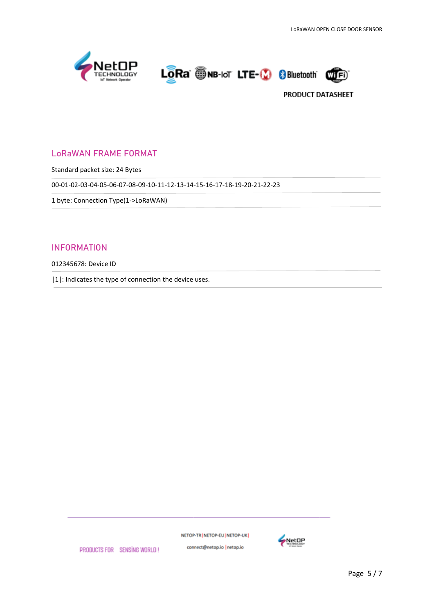





## **LoRaWAN FRAME FORMAT**

Standard packet size: 24 Bytes

00-01-02-03-04-05-06-07-08-09-10-11-12-13-14-15-16-17-18-19-20-21-22-23

1 byte: Connection Type(1->LoRaWAN)

### **INFORMATION**

012345678: Device ID

|1|: Indicates the type of connection the device uses.

NETOP-TR | NETOP-EU | NETOP-UK |



PRODUCTS FOR SENSING WORLD!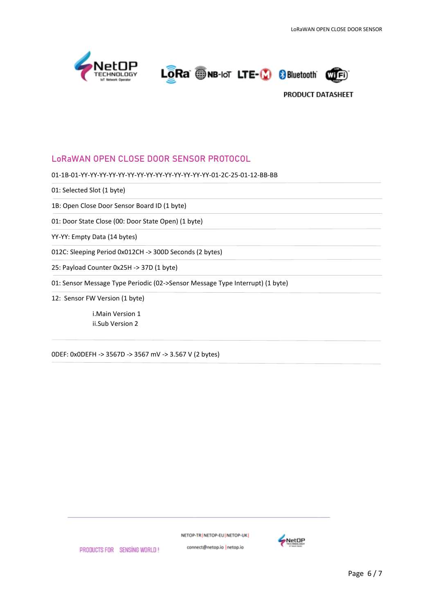





## **LoRaWAN OPEN CLOSE DOOR SENSOR PROTOCOL**

01-1B-01-YY-YY-YY-YY-YY-YY-YY-YY-YY-YY-YY-YY-YY-YY-01-2C-25-01-12-BB-BB

01: Selected Slot (1 byte)

1B: Open Close Door Sensor Board ID (1 byte)

01: Door State Close (00: Door State Open) (1 byte)

YY-YY: Empty Data (14 bytes)

012C: Sleeping Period 0x012CH -> 300D Seconds (2 bytes)

25: Payload Counter 0x25H -> 37D (1 byte)

01: Sensor Message Type Periodic (02->Sensor Message Type Interrupt) (1 byte)

12: Sensor FW Version (1 byte)

i.Main Version 1 ii.Sub Version 2

0DEF: 0x0DEFH -> 3567D -> 3567 mV -> 3.567 V (2 bytes)

NETOP-TR NETOP-EU NETOP-UK



PRODUCTS FOR SENSING WORLD!